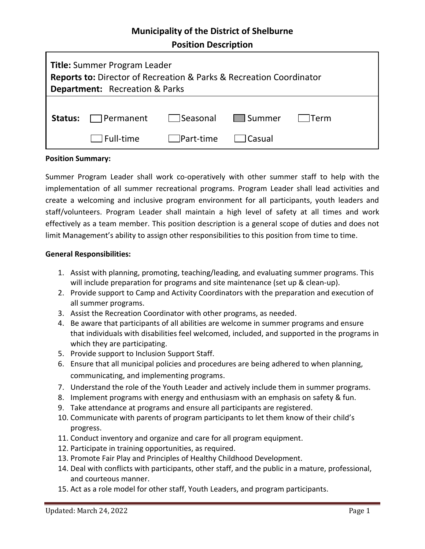# **Municipality of the District of Shelburne**

**Position Description**

| <b>Title:</b> Summer Program Leader<br><b>Reports to:</b> Director of Recreation & Parks & Recreation Coordinator<br><b>Department:</b> Recreation & Parks |                                 |                                |  |         |
|------------------------------------------------------------------------------------------------------------------------------------------------------------|---------------------------------|--------------------------------|--|---------|
|                                                                                                                                                            | <b>Status:</b> $\Box$ Permanent | Seasonal Summer                |  | l lTerm |
|                                                                                                                                                            | $\Box$ Full-time                | $\Box$ Part-time $\Box$ Casual |  |         |

### **Position Summary:**

Summer Program Leader shall work co-operatively with other summer staff to help with the implementation of all summer recreational programs. Program Leader shall lead activities and create a welcoming and inclusive program environment for all participants, youth leaders and staff/volunteers. Program Leader shall maintain a high level of safety at all times and work effectively as a team member. This position description is a general scope of duties and does not limit Management's ability to assign other responsibilities to this position from time to time.

### **General Responsibilities:**

- 1. Assist with planning, promoting, teaching/leading, and evaluating summer programs. This will include preparation for programs and site maintenance (set up & clean-up).
- 2. Provide support to Camp and Activity Coordinators with the preparation and execution of all summer programs.
- 3. Assist the Recreation Coordinator with other programs, as needed.
- 4. Be aware that participants of all abilities are welcome in summer programs and ensure that individuals with disabilities feel welcomed, included, and supported in the programs in which they are participating.
- 5. Provide support to Inclusion Support Staff.
- 6. Ensure that all municipal policies and procedures are being adhered to when planning, communicating, and implementing programs.
- 7. Understand the role of the Youth Leader and actively include them in summer programs.
- 8. Implement programs with energy and enthusiasm with an emphasis on safety & fun.
- 9. Take attendance at programs and ensure all participants are registered.
- 10. Communicate with parents of program participants to let them know of their child's progress.
- 11. Conduct inventory and organize and care for all program equipment.
- 12. Participate in training opportunities, as required.
- 13. Promote Fair Play and Principles of Healthy Childhood Development.
- 14. Deal with conflicts with participants, other staff, and the public in a mature, professional, and courteous manner.
- 15. Act as a role model for other staff, Youth Leaders, and program participants.